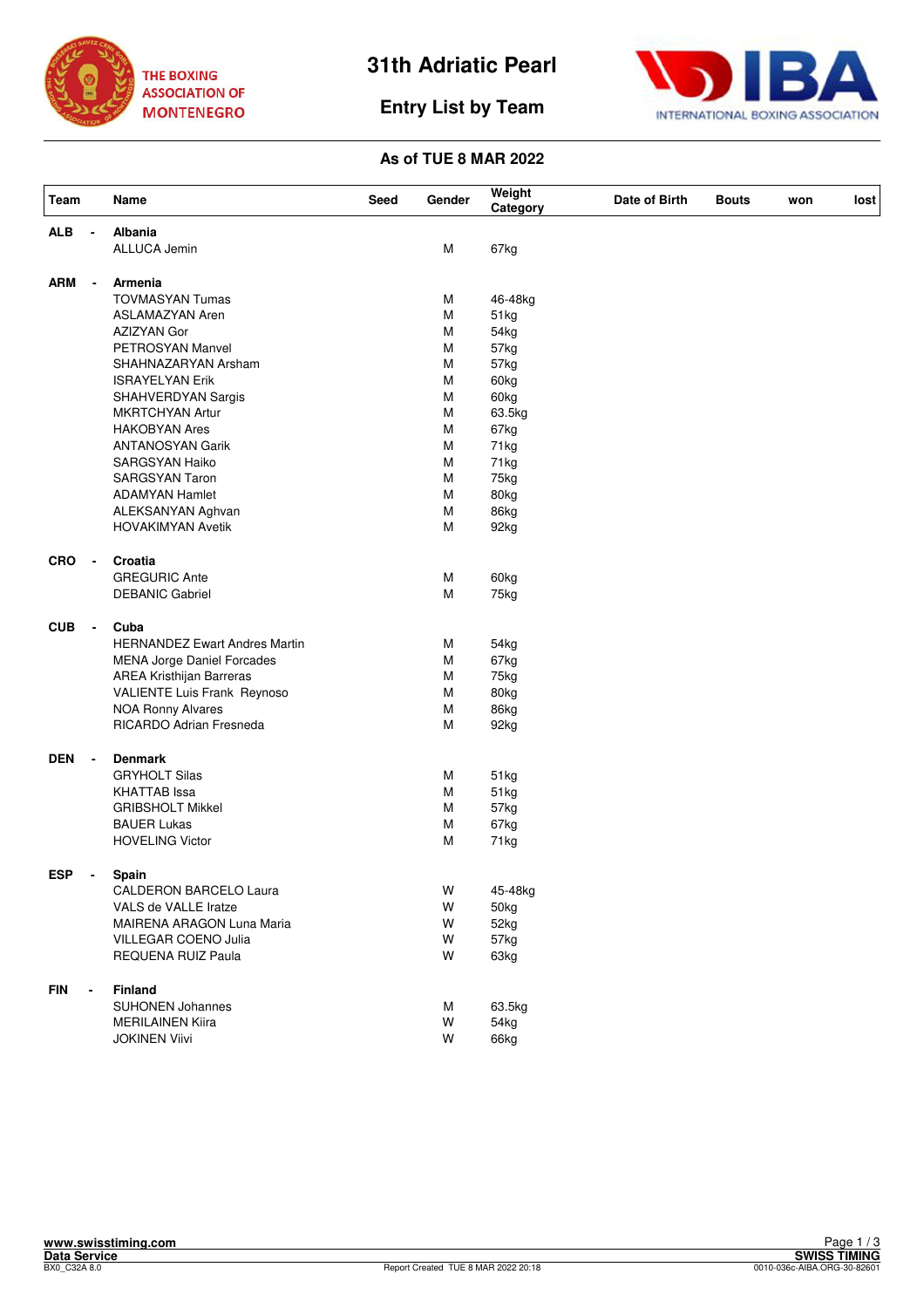

# **31th Adriatic Pearl**





### **As of TUE 8 MAR 2022**

| Team       |                          | Name                                 | Seed | Gender | Weight<br>Category | Date of Birth | <b>Bouts</b> | won | lost |
|------------|--------------------------|--------------------------------------|------|--------|--------------------|---------------|--------------|-----|------|
| <b>ALB</b> |                          | Albania                              |      |        |                    |               |              |     |      |
|            |                          | ALLUCA Jemin                         |      | M      | 67kg               |               |              |     |      |
| ARM        | $\overline{\phantom{a}}$ | Armenia                              |      |        |                    |               |              |     |      |
|            |                          | <b>TOVMASYAN Tumas</b>               |      | M      | 46-48kg            |               |              |     |      |
|            |                          | ASLAMAZYAN Aren                      |      | M      | 51kg               |               |              |     |      |
|            |                          | AZIZYAN Gor                          |      | M      | 54kg               |               |              |     |      |
|            |                          | PETROSYAN Manvel                     |      | M      | 57kg               |               |              |     |      |
|            |                          | SHAHNAZARYAN Arsham                  |      | M      | 57kg               |               |              |     |      |
|            |                          | <b>ISRAYELYAN Erik</b>               |      | M      | 60kg               |               |              |     |      |
|            |                          | SHAHVERDYAN Sargis                   |      | M      | 60kg               |               |              |     |      |
|            |                          | MKRTCHYAN Artur                      |      | M      | 63.5kg             |               |              |     |      |
|            |                          | <b>HAKOBYAN Ares</b>                 |      | M      | 67kg               |               |              |     |      |
|            |                          | <b>ANTANOSYAN Garik</b>              |      | M      | 71kg               |               |              |     |      |
|            |                          | <b>SARGSYAN Haiko</b>                |      | M      | 71kg               |               |              |     |      |
|            |                          | <b>SARGSYAN Taron</b>                |      | M      | 75kg               |               |              |     |      |
|            |                          | <b>ADAMYAN Hamlet</b>                |      | M      | 80kg               |               |              |     |      |
|            |                          | ALEKSANYAN Aghvan                    |      | M      | 86kg               |               |              |     |      |
|            |                          | <b>HOVAKIMYAN Avetik</b>             |      | M      | 92kg               |               |              |     |      |
| <b>CRO</b> | $\blacksquare$           | Croatia                              |      |        |                    |               |              |     |      |
|            |                          | <b>GREGURIC Ante</b>                 |      | M      | 60kg               |               |              |     |      |
|            |                          | <b>DEBANIC Gabriel</b>               |      | M      | 75kg               |               |              |     |      |
| <b>CUB</b> | $\blacksquare$           | Cuba                                 |      |        |                    |               |              |     |      |
|            |                          | <b>HERNANDEZ Ewart Andres Martin</b> |      | M      | 54kg               |               |              |     |      |
|            |                          | <b>MENA Jorge Daniel Forcades</b>    |      | M      | 67kg               |               |              |     |      |
|            |                          | AREA Kristhijan Barreras             |      | M      | 75kg               |               |              |     |      |
|            |                          | VALIENTE Luis Frank Reynoso          |      | M      | 80kg               |               |              |     |      |
|            |                          | <b>NOA Ronny Alvares</b>             |      | M      | 86kg               |               |              |     |      |
|            |                          | RICARDO Adrian Fresneda              |      | M      | 92kg               |               |              |     |      |
| <b>DEN</b> | $\overline{\phantom{a}}$ | <b>Denmark</b>                       |      |        |                    |               |              |     |      |
|            |                          | <b>GRYHOLT Silas</b>                 |      | M      | 51kg               |               |              |     |      |
|            |                          | <b>KHATTAB</b> Issa                  |      | M      | 51kg               |               |              |     |      |
|            |                          | <b>GRIBSHOLT Mikkel</b>              |      | M      | 57kg               |               |              |     |      |
|            |                          | <b>BAUER Lukas</b>                   |      | M      | 67kg               |               |              |     |      |
|            |                          | <b>HOVELING Victor</b>               |      | M      | 71kg               |               |              |     |      |
| <b>ESP</b> |                          | Spain                                |      |        |                    |               |              |     |      |
|            |                          | <b>CALDERON BARCELO Laura</b>        |      | W      | 45-48kg            |               |              |     |      |
|            |                          | VALS de VALLE Iratze                 |      | W      | 50kg               |               |              |     |      |
|            |                          | MAIRENA ARAGON Luna Maria            |      | W      | 52kg               |               |              |     |      |
|            |                          | VILLEGAR COENO Julia                 |      | W      | 57kg               |               |              |     |      |
|            |                          | REQUENA RUIZ Paula                   |      | W      | 63kg               |               |              |     |      |
| <b>FIN</b> |                          | Finland                              |      |        |                    |               |              |     |      |
|            |                          | <b>SUHONEN Johannes</b>              |      | M      | 63.5kg             |               |              |     |      |
|            |                          | <b>MERILAINEN Kiira</b>              |      | W      | 54kg               |               |              |     |      |
|            |                          | <b>JOKINEN Viivi</b>                 |      | W      | 66kg               |               |              |     |      |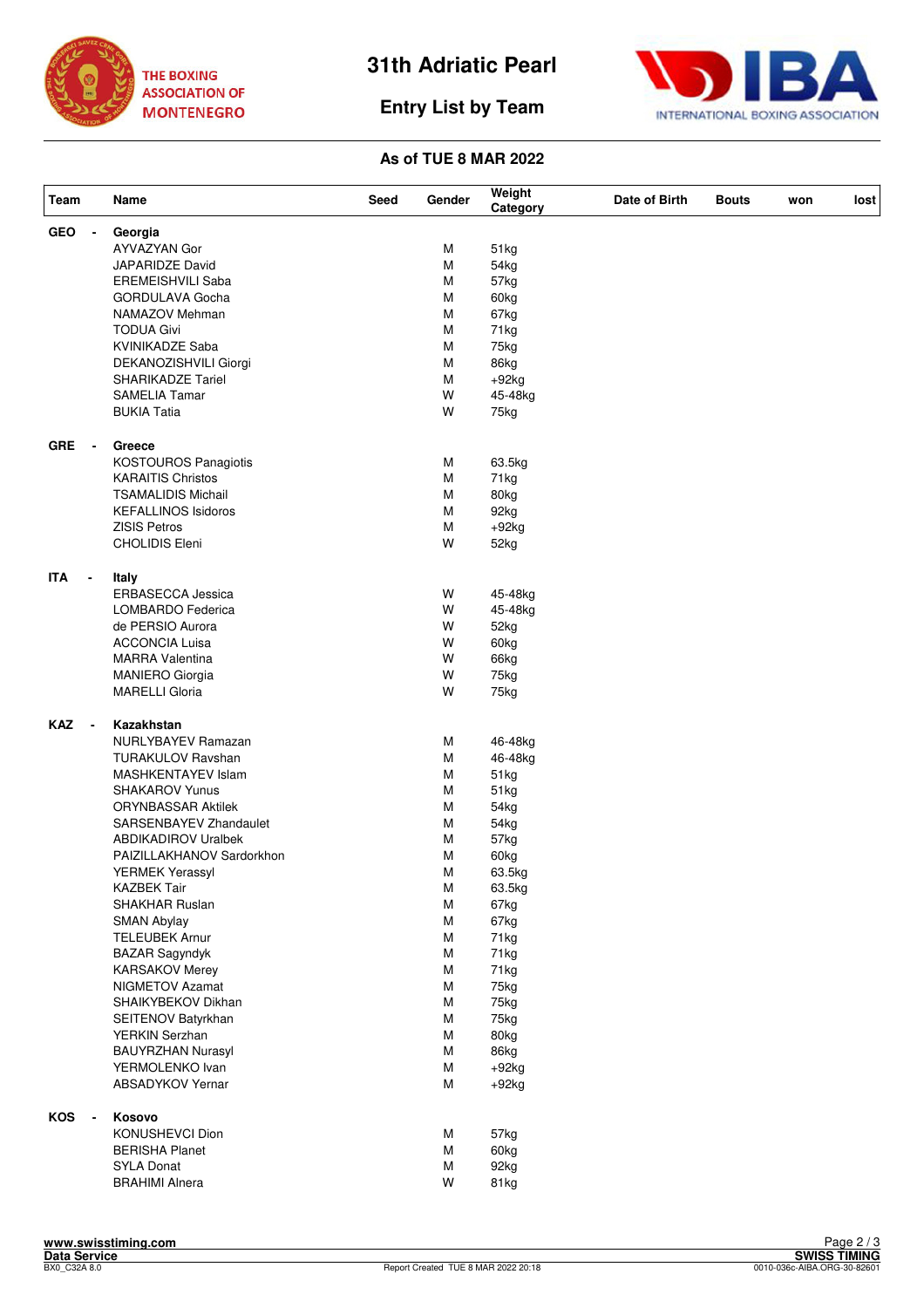

**Entry List by Team**



#### **As of TUE 8 MAR 2022**

| Team                                   | Name                        | Seed | Gender | Weight<br>Category | Date of Birth | <b>Bouts</b> | won | lost |
|----------------------------------------|-----------------------------|------|--------|--------------------|---------------|--------------|-----|------|
| <b>GEO</b>                             | Georgia                     |      |        |                    |               |              |     |      |
|                                        | AYVAZYAN Gor                |      | м      | 51kg               |               |              |     |      |
|                                        | JAPARIDZE David             |      | M      | 54kg               |               |              |     |      |
|                                        | <b>EREMEISHVILI Saba</b>    |      | M      | 57kg               |               |              |     |      |
|                                        | GORDULAVA Gocha             |      | M      | 60kg               |               |              |     |      |
|                                        | NAMAZOV Mehman              |      | M      | 67kg               |               |              |     |      |
|                                        | <b>TODUA Givi</b>           |      | M      | 71kg               |               |              |     |      |
|                                        | KVINIKADZE Saba             |      | M      | 75kg               |               |              |     |      |
|                                        | DEKANOZISHVILI Giorgi       |      | M      | 86kg               |               |              |     |      |
|                                        | <b>SHARIKADZE Tariel</b>    |      | M      | $+92kg$            |               |              |     |      |
|                                        | <b>SAMELIA Tamar</b>        |      | W      | 45-48kg            |               |              |     |      |
|                                        | <b>BUKIA Tatia</b>          |      | W      | 75kg               |               |              |     |      |
|                                        |                             |      |        |                    |               |              |     |      |
| <b>GRE</b><br>$\blacksquare$           | Greece                      |      |        |                    |               |              |     |      |
|                                        | <b>KOSTOUROS Panagiotis</b> |      | М      | 63.5kg             |               |              |     |      |
|                                        | <b>KARAITIS Christos</b>    |      | M      | 71kg               |               |              |     |      |
|                                        | <b>TSAMALIDIS Michail</b>   |      | M      | 80kg               |               |              |     |      |
|                                        | <b>KEFALLINOS Isidoros</b>  |      | M      | 92kg               |               |              |     |      |
|                                        | <b>ZISIS Petros</b>         |      | M      | $+92kg$            |               |              |     |      |
|                                        | <b>CHOLIDIS Eleni</b>       |      | W      | 52kg               |               |              |     |      |
| <b>ITA</b><br>$\blacksquare$           | Italy                       |      |        |                    |               |              |     |      |
|                                        | <b>ERBASECCA Jessica</b>    |      | W      | 45-48kg            |               |              |     |      |
|                                        | LOMBARDO Federica           |      | W      | 45-48kg            |               |              |     |      |
|                                        | de PERSIO Aurora            |      | W      | 52kg               |               |              |     |      |
|                                        | <b>ACCONCIA Luisa</b>       |      | W      | 60kg               |               |              |     |      |
|                                        | <b>MARRA Valentina</b>      |      | W      | 66kg               |               |              |     |      |
|                                        | <b>MANIERO Giorgia</b>      |      | W      | 75kg               |               |              |     |      |
|                                        | <b>MARELLI Gloria</b>       |      | W      | 75kg               |               |              |     |      |
|                                        |                             |      |        |                    |               |              |     |      |
| <b>KAZ</b><br>$\overline{\phantom{a}}$ | Kazakhstan                  |      |        |                    |               |              |     |      |
|                                        | <b>NURLYBAYEV Ramazan</b>   |      | М      | 46-48kg            |               |              |     |      |
|                                        | TURAKULOV Ravshan           |      | M      | 46-48kg            |               |              |     |      |
|                                        | MASHKENTAYEV Islam          |      | M      | 51kg               |               |              |     |      |
|                                        | SHAKAROV Yunus              |      | М      | 51kg               |               |              |     |      |
|                                        | <b>ORYNBASSAR Aktilek</b>   |      | M      | 54kg               |               |              |     |      |
|                                        | SARSENBAYEV Zhandaulet      |      | M      | 54kg               |               |              |     |      |
|                                        | <b>ABDIKADIROV Uralbek</b>  |      | M      | 57kg               |               |              |     |      |
|                                        | PAIZILLAKHANOV Sardorkhon   |      | М      | 60kg               |               |              |     |      |
|                                        | <b>YERMEK Yerassyl</b>      |      | М      | 63.5kg             |               |              |     |      |
|                                        | <b>KAZBEK Tair</b>          |      | M      | 63.5kg             |               |              |     |      |
|                                        | SHAKHAR Ruslan              |      | M      | 67kg               |               |              |     |      |
|                                        | <b>SMAN Abylay</b>          |      | M      | 67kg               |               |              |     |      |
|                                        | <b>TELEUBEK Arnur</b>       |      | M      | 71kg               |               |              |     |      |
|                                        |                             |      |        |                    |               |              |     |      |
|                                        | <b>BAZAR Sagyndyk</b>       |      | M      | 71kg               |               |              |     |      |
|                                        | <b>KARSAKOV Merey</b>       |      | M      | 71kg               |               |              |     |      |
|                                        | NIGMETOV Azamat             |      | M      | 75kg               |               |              |     |      |
|                                        | SHAIKYBEKOV Dikhan          |      | M      | 75kg               |               |              |     |      |
|                                        | SEITENOV Batyrkhan          |      | M      | 75kg               |               |              |     |      |
|                                        | YERKIN Serzhan              |      | M      | 80kg               |               |              |     |      |
|                                        | <b>BAUYRZHAN Nurasyl</b>    |      | M      | 86kg               |               |              |     |      |
|                                        | YERMOLENKO Ivan             |      | M      | $+92kg$            |               |              |     |      |
|                                        | ABSADYKOV Yernar            |      | M      | $+92kg$            |               |              |     |      |
| KOS                                    | Kosovo                      |      |        |                    |               |              |     |      |
|                                        | KONUSHEVCI Dion             |      | М      | 57kg               |               |              |     |      |
|                                        | <b>BERISHA Planet</b>       |      | M      | 60kg               |               |              |     |      |
|                                        | <b>SYLA Donat</b>           |      | M      | 92kg               |               |              |     |      |
|                                        | <b>BRAHIMI Alnera</b>       |      | W      | 81kg               |               |              |     |      |